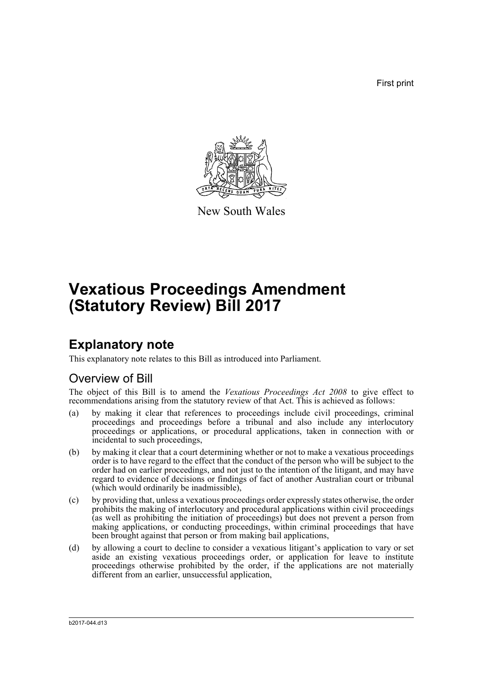First print



New South Wales

# **Vexatious Proceedings Amendment (Statutory Review) Bill 2017**

## **Explanatory note**

This explanatory note relates to this Bill as introduced into Parliament.

### Overview of Bill

The object of this Bill is to amend the *Vexatious Proceedings Act 2008* to give effect to recommendations arising from the statutory review of that Act. This is achieved as follows:

- (a) by making it clear that references to proceedings include civil proceedings, criminal proceedings and proceedings before a tribunal and also include any interlocutory proceedings or applications, or procedural applications, taken in connection with or incidental to such proceedings,
- (b) by making it clear that a court determining whether or not to make a vexatious proceedings order is to have regard to the effect that the conduct of the person who will be subject to the order had on earlier proceedings, and not just to the intention of the litigant, and may have regard to evidence of decisions or findings of fact of another Australian court or tribunal (which would ordinarily be inadmissible),
- (c) by providing that, unless a vexatious proceedings order expressly states otherwise, the order prohibits the making of interlocutory and procedural applications within civil proceedings (as well as prohibiting the initiation of proceedings) but does not prevent a person from making applications, or conducting proceedings, within criminal proceedings that have been brought against that person or from making bail applications,
- (d) by allowing a court to decline to consider a vexatious litigant's application to vary or set aside an existing vexatious proceedings order, or application for leave to institute proceedings otherwise prohibited by the order, if the applications are not materially different from an earlier, unsuccessful application,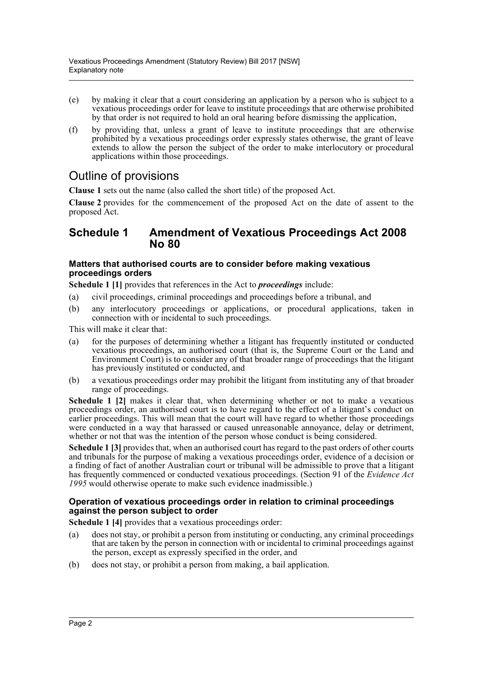- (e) by making it clear that a court considering an application by a person who is subject to a vexatious proceedings order for leave to institute proceedings that are otherwise prohibited by that order is not required to hold an oral hearing before dismissing the application,
- (f) by providing that, unless a grant of leave to institute proceedings that are otherwise prohibited by a vexatious proceedings order expressly states otherwise, the grant of leave extends to allow the person the subject of the order to make interlocutory or procedural applications within those proceedings.

## Outline of provisions

**Clause 1** sets out the name (also called the short title) of the proposed Act.

**Clause 2** provides for the commencement of the proposed Act on the date of assent to the proposed Act.

### **Schedule 1 Amendment of Vexatious Proceedings Act 2008 No 80**

### **Matters that authorised courts are to consider before making vexatious proceedings orders**

**Schedule 1 [1]** provides that references in the Act to *proceedings* include:

- (a) civil proceedings, criminal proceedings and proceedings before a tribunal, and
- (b) any interlocutory proceedings or applications, or procedural applications, taken in connection with or incidental to such proceedings.

This will make it clear that:

- (a) for the purposes of determining whether a litigant has frequently instituted or conducted vexatious proceedings, an authorised court (that is, the Supreme Court or the Land and Environment Court) is to consider any of that broader range of proceedings that the litigant has previously instituted or conducted, and
- (b) a vexatious proceedings order may prohibit the litigant from instituting any of that broader range of proceedings.

**Schedule 1 [2]** makes it clear that, when determining whether or not to make a vexatious proceedings order, an authorised court is to have regard to the effect of a litigant's conduct on earlier proceedings. This will mean that the court will have regard to whether those proceedings were conducted in a way that harassed or caused unreasonable annoyance, delay or detriment, whether or not that was the intention of the person whose conduct is being considered.

**Schedule 1 [3]** provides that, when an authorised court has regard to the past orders of other courts and tribunals for the purpose of making a vexatious proceedings order, evidence of a decision or a finding of fact of another Australian court or tribunal will be admissible to prove that a litigant has frequently commenced or conducted vexatious proceedings. (Section 91 of the *Evidence Act 1995* would otherwise operate to make such evidence inadmissible.)

### **Operation of vexatious proceedings order in relation to criminal proceedings against the person subject to order**

**Schedule 1 [4]** provides that a vexatious proceedings order:

- (a) does not stay, or prohibit a person from instituting or conducting, any criminal proceedings that are taken by the person in connection with or incidental to criminal proceedings against the person, except as expressly specified in the order, and
- (b) does not stay, or prohibit a person from making, a bail application.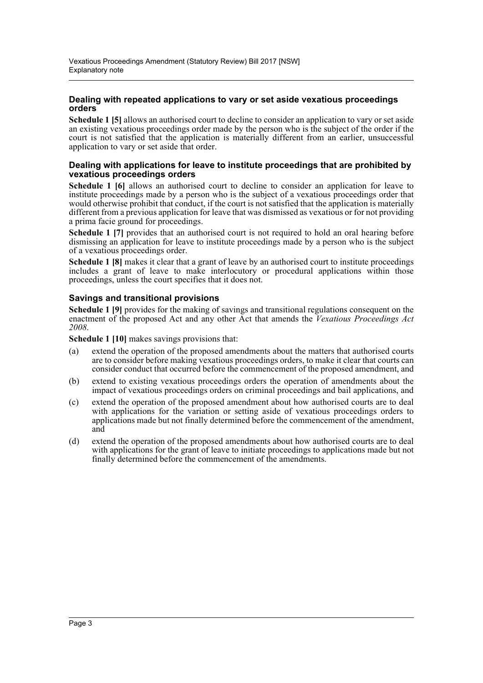### **Dealing with repeated applications to vary or set aside vexatious proceedings orders**

**Schedule 1 [5]** allows an authorised court to decline to consider an application to vary or set aside an existing vexatious proceedings order made by the person who is the subject of the order if the court is not satisfied that the application is materially different from an earlier, unsuccessful application to vary or set aside that order.

### **Dealing with applications for leave to institute proceedings that are prohibited by vexatious proceedings orders**

**Schedule 1 [6]** allows an authorised court to decline to consider an application for leave to institute proceedings made by a person who is the subject of a vexatious proceedings order that would otherwise prohibit that conduct, if the court is not satisfied that the application is materially different from a previous application for leave that was dismissed as vexatious or for not providing a prima facie ground for proceedings.

**Schedule 1 [7]** provides that an authorised court is not required to hold an oral hearing before dismissing an application for leave to institute proceedings made by a person who is the subject of a vexatious proceedings order.

**Schedule 1 [8]** makes it clear that a grant of leave by an authorised court to institute proceedings includes a grant of leave to make interlocutory or procedural applications within those proceedings, unless the court specifies that it does not.

### **Savings and transitional provisions**

**Schedule 1 [9]** provides for the making of savings and transitional regulations consequent on the enactment of the proposed Act and any other Act that amends the *Vexatious Proceedings Act 2008*.

**Schedule 1 [10]** makes savings provisions that:

- (a) extend the operation of the proposed amendments about the matters that authorised courts are to consider before making vexatious proceedings orders, to make it clear that courts can consider conduct that occurred before the commencement of the proposed amendment, and
- (b) extend to existing vexatious proceedings orders the operation of amendments about the impact of vexatious proceedings orders on criminal proceedings and bail applications, and
- (c) extend the operation of the proposed amendment about how authorised courts are to deal with applications for the variation or setting aside of vexatious proceedings orders to applications made but not finally determined before the commencement of the amendment, and
- (d) extend the operation of the proposed amendments about how authorised courts are to deal with applications for the grant of leave to initiate proceedings to applications made but not finally determined before the commencement of the amendments.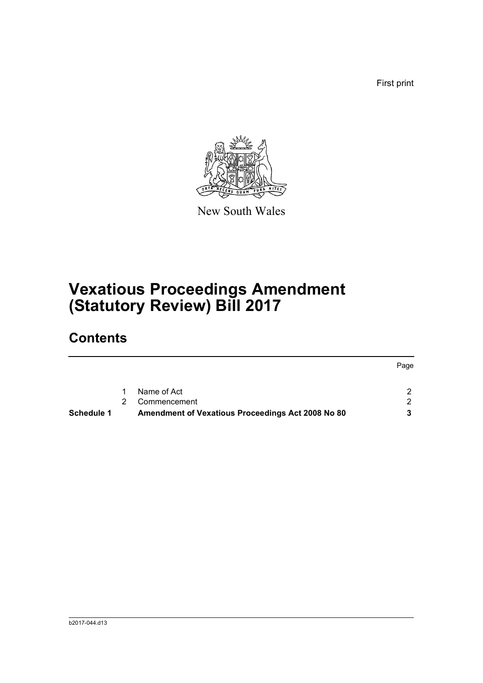First print



New South Wales

# **Vexatious Proceedings Amendment (Statutory Review) Bill 2017**

## **Contents**

|                   |                |                                                   | Page |
|-------------------|----------------|---------------------------------------------------|------|
|                   |                |                                                   |      |
|                   | $\mathbf 1$    | Name of Act                                       |      |
|                   | $\overline{2}$ | Commencement                                      |      |
| <b>Schedule 1</b> |                | Amendment of Vexatious Proceedings Act 2008 No 80 |      |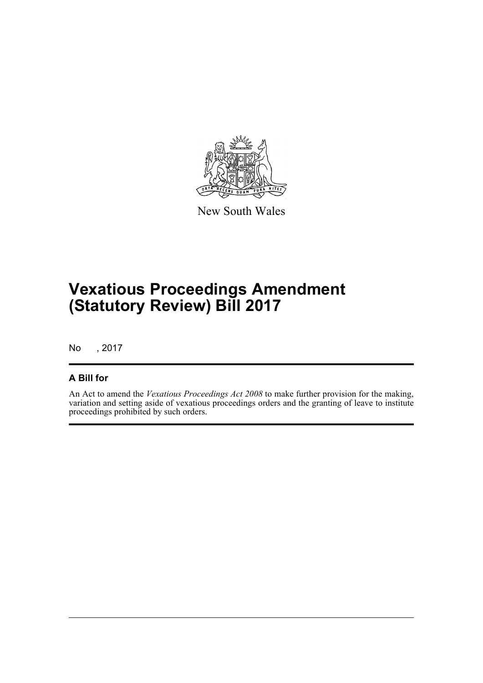

New South Wales

# **Vexatious Proceedings Amendment (Statutory Review) Bill 2017**

No , 2017

### **A Bill for**

An Act to amend the *Vexatious Proceedings Act 2008* to make further provision for the making, variation and setting aside of vexatious proceedings orders and the granting of leave to institute proceedings prohibited by such orders.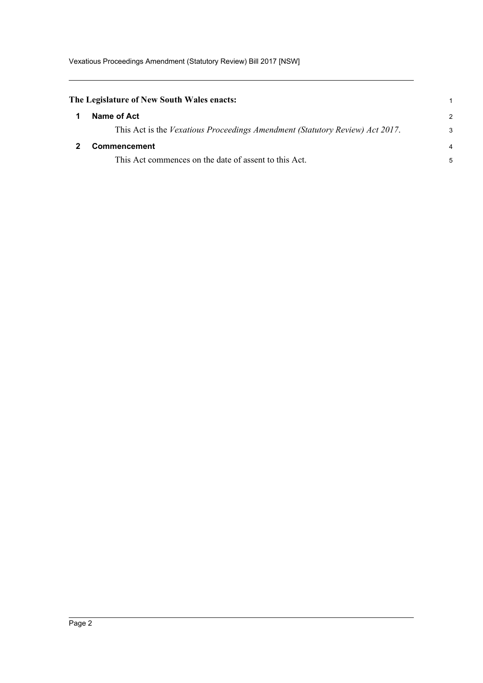<span id="page-5-1"></span><span id="page-5-0"></span>

| The Legislature of New South Wales enacts:                                   |                |
|------------------------------------------------------------------------------|----------------|
| Name of Act                                                                  | $\mathcal{P}$  |
| This Act is the Vexatious Proceedings Amendment (Statutory Review) Act 2017. | 3              |
| Commencement                                                                 | $\overline{4}$ |
| This Act commences on the date of assent to this Act.                        | 5              |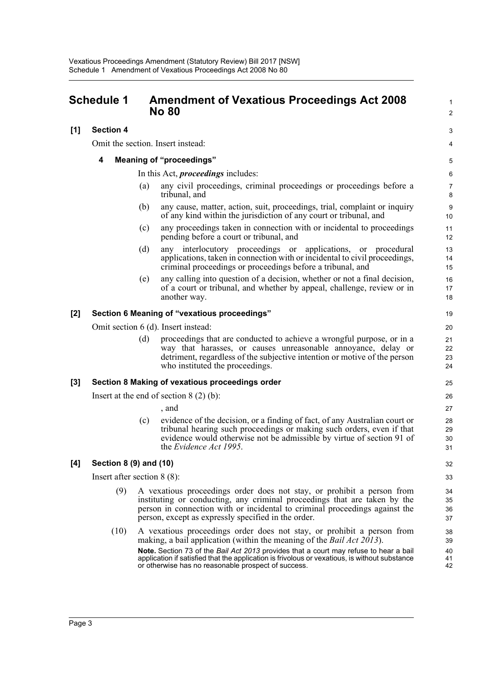### <span id="page-6-0"></span>**Schedule 1 Amendment of Vexatious Proceedings Act 2008 No 80**

### **[1] Section 4**

Omit the section. Insert instead:

### **4 Meaning of "proceedings"**

In this Act, *proceedings* includes:

(a) any civil proceedings, criminal proceedings or proceedings before a tribunal, and

1  $\mathfrak{p}$ 

3 4

- (b) any cause, matter, action, suit, proceedings, trial, complaint or inquiry of any kind within the jurisdiction of any court or tribunal, and
- (c) any proceedings taken in connection with or incidental to proceedings pending before a court or tribunal, and
- (d) any interlocutory proceedings or applications, or procedural applications, taken in connection with or incidental to civil proceedings, criminal proceedings or proceedings before a tribunal, and
- (e) any calling into question of a decision, whether or not a final decision, of a court or tribunal, and whether by appeal, challenge, review or in another way.

#### **[2] Section 6 Meaning of "vexatious proceedings"**

Omit section 6 (d). Insert instead:

(d) proceedings that are conducted to achieve a wrongful purpose, or in a way that harasses, or causes unreasonable annoyance, delay or detriment, regardless of the subjective intention or motive of the person who instituted the proceedings.

### **[3] Section 8 Making of vexatious proceedings order**

Insert at the end of section 8 (2) (b):

, and

(c) evidence of the decision, or a finding of fact, of any Australian court or tribunal hearing such proceedings or making such orders, even if that evidence would otherwise not be admissible by virtue of section 91 of the *Evidence Act 1995*.

### **[4] Section 8 (9) and (10)**

Insert after section 8 (8):

- (9) A vexatious proceedings order does not stay, or prohibit a person from instituting or conducting, any criminal proceedings that are taken by the person in connection with or incidental to criminal proceedings against the person, except as expressly specified in the order.
- (10) A vexatious proceedings order does not stay, or prohibit a person from making, a bail application (within the meaning of the *Bail Act 2013*). **Note.** Section 73 of the *Bail Act 2013* provides that a court may refuse to hear a bail application if satisfied that the application is frivolous or vexatious, is without substance or otherwise has no reasonable prospect of success.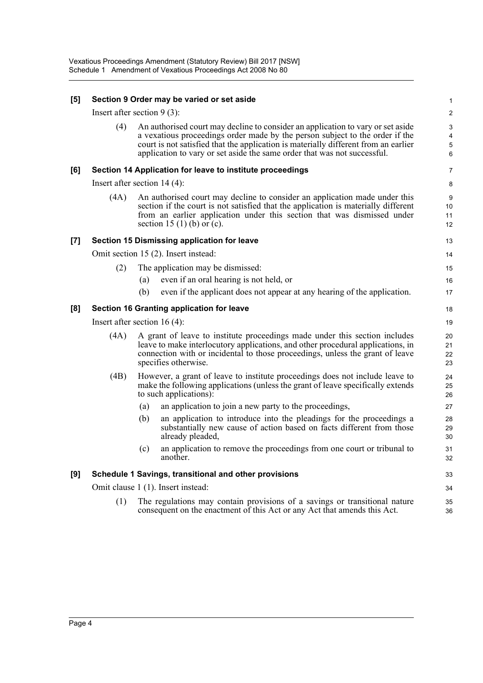| [5] | Section 9 Order may be varied or set aside                |                                                                                                                                                                                                                                                                                                                                    |                                              |  |  |
|-----|-----------------------------------------------------------|------------------------------------------------------------------------------------------------------------------------------------------------------------------------------------------------------------------------------------------------------------------------------------------------------------------------------------|----------------------------------------------|--|--|
|     | Insert after section $9(3)$ :                             |                                                                                                                                                                                                                                                                                                                                    |                                              |  |  |
|     | (4)                                                       | An authorised court may decline to consider an application to vary or set aside<br>a vexatious proceedings order made by the person subject to the order if the<br>court is not satisfied that the application is materially different from an earlier<br>application to vary or set aside the same order that was not successful. | 3<br>$\overline{4}$<br>$\sqrt{5}$<br>$\,6\,$ |  |  |
| [6] | Section 14 Application for leave to institute proceedings |                                                                                                                                                                                                                                                                                                                                    |                                              |  |  |
|     | Insert after section $14(4)$ :                            |                                                                                                                                                                                                                                                                                                                                    |                                              |  |  |
|     | (4A)                                                      | An authorised court may decline to consider an application made under this<br>section if the court is not satisfied that the application is materially different<br>from an earlier application under this section that was dismissed under<br>section 15 (1) (b) or (c).                                                          |                                              |  |  |
| [7] |                                                           | Section 15 Dismissing application for leave                                                                                                                                                                                                                                                                                        | 13                                           |  |  |
|     | Omit section 15 (2). Insert instead:                      |                                                                                                                                                                                                                                                                                                                                    |                                              |  |  |
|     | (2)                                                       | The application may be dismissed:                                                                                                                                                                                                                                                                                                  | 15                                           |  |  |
|     |                                                           | even if an oral hearing is not held, or<br>(a)                                                                                                                                                                                                                                                                                     | 16                                           |  |  |
|     |                                                           | (b)<br>even if the applicant does not appear at any hearing of the application.                                                                                                                                                                                                                                                    | 17                                           |  |  |
| [8] | Section 16 Granting application for leave                 |                                                                                                                                                                                                                                                                                                                                    |                                              |  |  |
|     | Insert after section $16(4)$ :                            |                                                                                                                                                                                                                                                                                                                                    |                                              |  |  |
|     | (4A)                                                      | A grant of leave to institute proceedings made under this section includes<br>leave to make interlocutory applications, and other procedural applications, in<br>connection with or incidental to those proceedings, unless the grant of leave<br>specifies otherwise.                                                             | 20<br>21<br>22<br>23                         |  |  |
|     | (4B)                                                      | However, a grant of leave to institute proceedings does not include leave to<br>make the following applications (unless the grant of leave specifically extends<br>to such applications):                                                                                                                                          | 24<br>25<br>26                               |  |  |
|     |                                                           | (a)<br>an application to join a new party to the proceedings,                                                                                                                                                                                                                                                                      | 27                                           |  |  |
|     |                                                           | an application to introduce into the pleadings for the proceedings a<br>(b)<br>substantially new cause of action based on facts different from those<br>already pleaded,                                                                                                                                                           | 28<br>29<br>30                               |  |  |
|     |                                                           | an application to remove the proceedings from one court or tribunal to<br>(c)<br>another.                                                                                                                                                                                                                                          | 31<br>32                                     |  |  |
| [9] | Schedule 1 Savings, transitional and other provisions     |                                                                                                                                                                                                                                                                                                                                    |                                              |  |  |
|     |                                                           | Omit clause 1 (1). Insert instead:                                                                                                                                                                                                                                                                                                 | 34                                           |  |  |
|     | (1)                                                       | The regulations may contain provisions of a savings or transitional nature<br>consequent on the enactment of this Act or any Act that amends this Act.                                                                                                                                                                             | 35<br>36                                     |  |  |